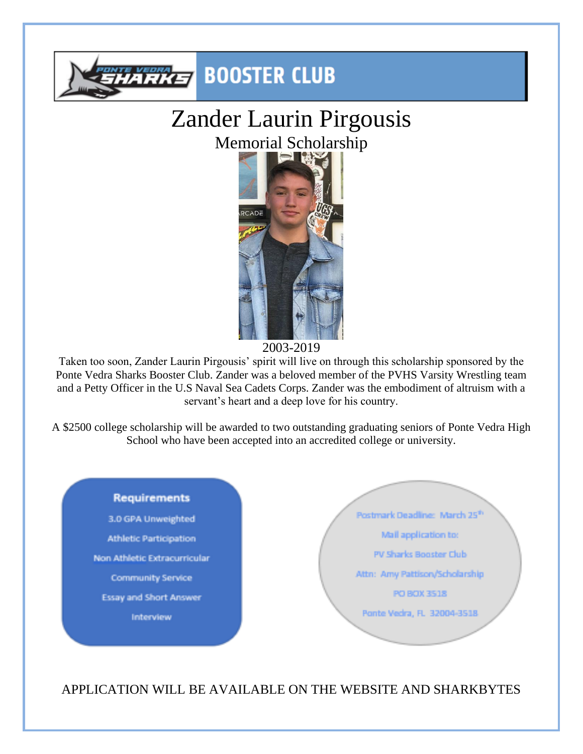

# Zander Laurin Pirgousis Memorial Scholarship



2003-2019

Taken too soon, Zander Laurin Pirgousis' spirit will live on through this scholarship sponsored by the Ponte Vedra Sharks Booster Club. Zander was a beloved member of the PVHS Varsity Wrestling team and a Petty Officer in the U.S Naval Sea Cadets Corps. Zander was the embodiment of altruism with a servant's heart and a deep love for his country.

A \$2500 college scholarship will be awarded to two outstanding graduating seniors of Ponte Vedra High School who have been accepted into an accredited college or university.



APPLICATION WILL BE AVAILABLE ON THE WEBSITE AND SHARKBYTES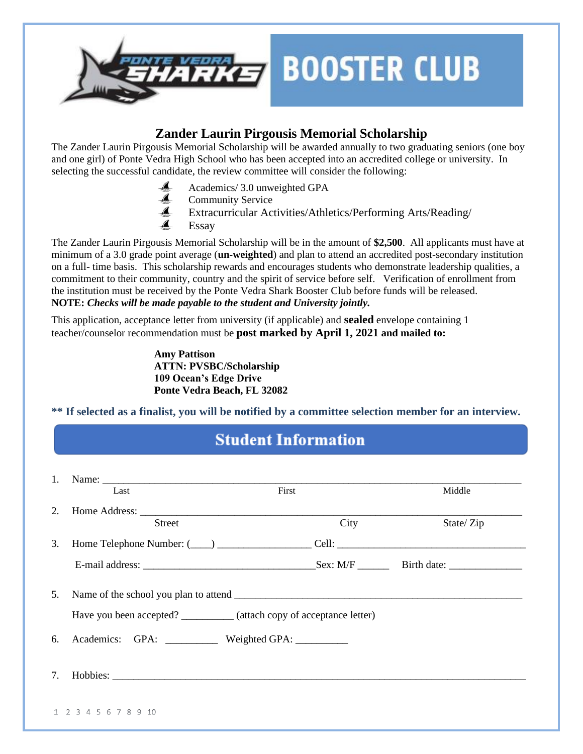

#### **Zander Laurin Pirgousis Memorial Scholarship**

The Zander Laurin Pirgousis Memorial Scholarship will be awarded annually to two graduating seniors (one boy and one girl) of Ponte Vedra High School who has been accepted into an accredited college or university. In selecting the successful candidate, the review committee will consider the following:

- Academics/ 3.0 unweighted GPA
- Community Service
- Extracurricular Activities/Athletics/Performing Arts/Reading/
- Essay

The Zander Laurin Pirgousis Memorial Scholarship will be in the amount of **\$2,500**. All applicants must have at minimum of a 3.0 grade point average (**un-weighted**) and plan to attend an accredited post-secondary institution on a full- time basis. This scholarship rewards and encourages students who demonstrate leadership qualities, a commitment to their community, country and the spirit of service before self. Verification of enrollment from the institution must be received by the Ponte Vedra Shark Booster Club before funds will be released. **NOTE:** *Checks will be made payable to the student and University jointly.*

This application, acceptance letter from university (if applicable) and **sealed** envelope containing 1 teacher/counselor recommendation must be **post marked by April 1, 2021 and mailed to:** 

> **Amy Pattison ATTN: PVSBC/Scholarship 109 Ocean's Edge Drive Ponte Vedra Beach, FL 32082**

**\*\* If selected as a finalist, you will be notified by a committee selection member for an interview.**

## **Student Information**

| 1. |                      |               |                                                                        |      |           |  |  |  |  |
|----|----------------------|---------------|------------------------------------------------------------------------|------|-----------|--|--|--|--|
|    | Last                 |               | First                                                                  |      | Middle    |  |  |  |  |
|    |                      |               |                                                                        |      |           |  |  |  |  |
|    |                      | <b>Street</b> |                                                                        | City | State/Zip |  |  |  |  |
|    |                      |               |                                                                        |      |           |  |  |  |  |
|    |                      |               |                                                                        |      |           |  |  |  |  |
|    |                      |               |                                                                        |      |           |  |  |  |  |
| 5. |                      |               |                                                                        |      |           |  |  |  |  |
|    |                      |               | Have you been accepted? ___________ (attach copy of acceptance letter) |      |           |  |  |  |  |
|    |                      |               | 6. Academics: GPA: ___________ Weighted GPA: ________                  |      |           |  |  |  |  |
|    |                      |               |                                                                        |      |           |  |  |  |  |
| 7. |                      |               |                                                                        |      |           |  |  |  |  |
|    |                      |               |                                                                        |      |           |  |  |  |  |
|    | 1 2 3 4 5 6 7 8 9 10 |               |                                                                        |      |           |  |  |  |  |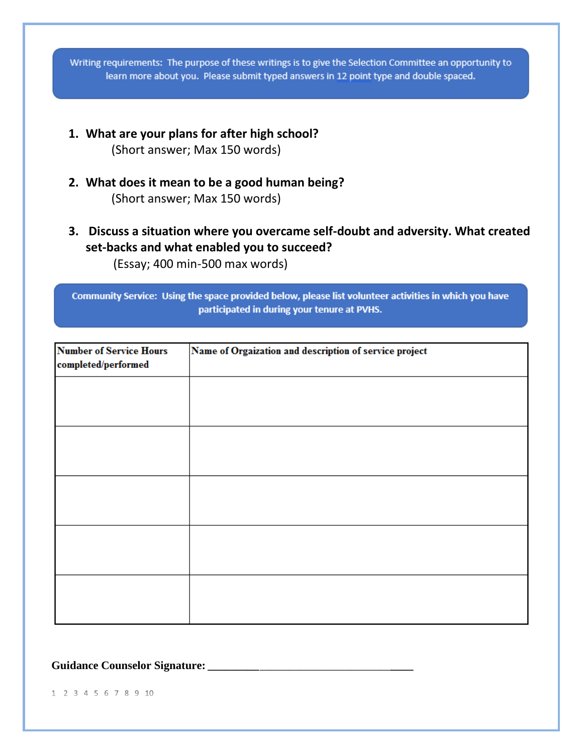Writing requirements: The purpose of these writings is to give the Selection Committee an opportunity to learn more about you. Please submit typed answers in 12 point type and double spaced.

- **1. What are your plans for after high school?** (Short answer; Max 150 words)
- **2. What does it mean to be a good human being?**  (Short answer; Max 150 words)
- **3. Discuss a situation where you overcame self-doubt and adversity. What created set-backs and what enabled you to succeed?**  (Essay; 400 min-500 max words)

Community Service: Using the space provided below, please list volunteer activities in which you have participated in during your tenure at PVHS.

| <b>Number of Service Hours</b><br>completed/performed | Name of Orgaization and description of service project |  |  |  |  |  |  |
|-------------------------------------------------------|--------------------------------------------------------|--|--|--|--|--|--|
|                                                       |                                                        |  |  |  |  |  |  |
|                                                       |                                                        |  |  |  |  |  |  |
|                                                       |                                                        |  |  |  |  |  |  |
|                                                       |                                                        |  |  |  |  |  |  |
|                                                       |                                                        |  |  |  |  |  |  |
|                                                       |                                                        |  |  |  |  |  |  |
|                                                       |                                                        |  |  |  |  |  |  |

**Guidance Counselor Signature:** *\_\_\_\_\_\_\_\_\_\_\_\_\_\_\_\_\_\_\_\_\_\_\_\_\_\_\_\_\_\_\_\_\_\_\_\_*

1 2 3 4 5 6 7 8 9 10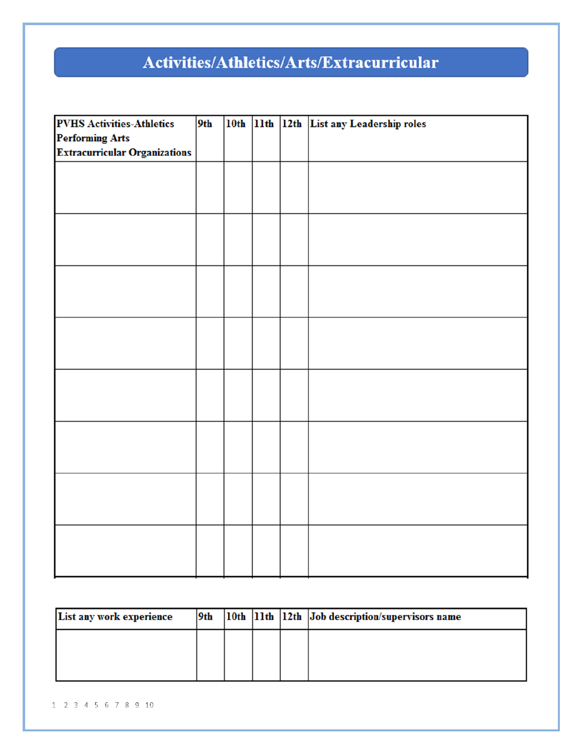## Activities/Athletics/Arts/Extracurricular

| <b>PVHS Activities-Athletics</b>     | 9th |  | 10th 11th 12th List any Leadership roles |
|--------------------------------------|-----|--|------------------------------------------|
| <b>Performing Arts</b>               |     |  |                                          |
| <b>Extracurricular Organizations</b> |     |  |                                          |
|                                      |     |  |                                          |
|                                      |     |  |                                          |
|                                      |     |  |                                          |
|                                      |     |  |                                          |
|                                      |     |  |                                          |
|                                      |     |  |                                          |
|                                      |     |  |                                          |
|                                      |     |  |                                          |
|                                      |     |  |                                          |
|                                      |     |  |                                          |
|                                      |     |  |                                          |
|                                      |     |  |                                          |
|                                      |     |  |                                          |
|                                      |     |  |                                          |
|                                      |     |  |                                          |
|                                      |     |  |                                          |
|                                      |     |  |                                          |
|                                      |     |  |                                          |
|                                      |     |  |                                          |
|                                      |     |  |                                          |
|                                      |     |  |                                          |
|                                      |     |  |                                          |
|                                      |     |  |                                          |
|                                      |     |  |                                          |
|                                      |     |  |                                          |
|                                      |     |  |                                          |
|                                      |     |  |                                          |
|                                      |     |  |                                          |
|                                      |     |  |                                          |

| List any work experience | 9th |  | 10th  11th  12th  Job description/supervisors name |
|--------------------------|-----|--|----------------------------------------------------|
|                          |     |  |                                                    |
|                          |     |  |                                                    |
|                          |     |  |                                                    |